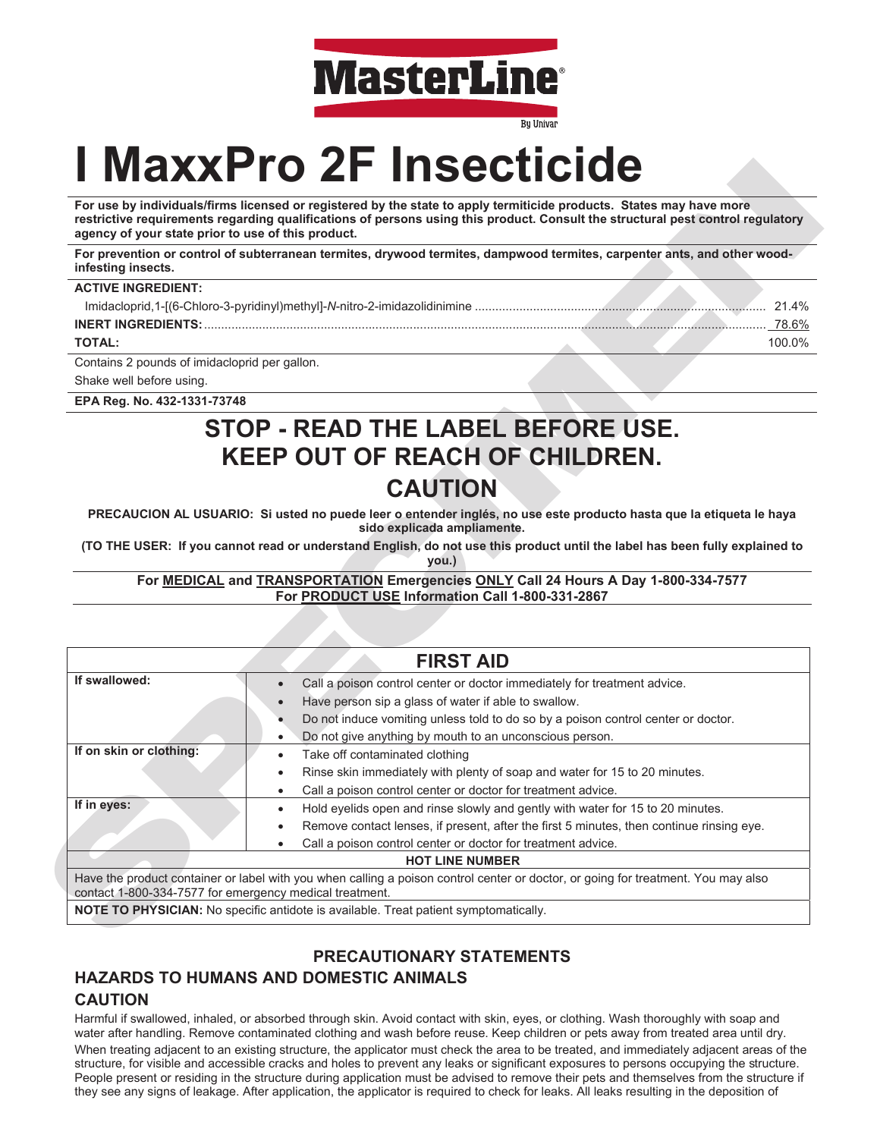

**Bu Univar** 

# **I MaxxPro 2F Insecticide**

| <b>ACTIVE INGREDIENT:</b> |              |
|---------------------------|--------------|
|                           | 21.4%        |
| <b>INERT INGREDIENTS:</b> | <u>78.6%</u> |
| <b>TOTAL:</b>             | 100.0%       |

# **STOP - READ THE LABEL BEFORE USE. KEEP OUT OF REACH OF CHILDREN. CAUTION**

| For use by individuals/firms licensed or registered by the state to apply termiticide products. States may have more<br>restrictive requirements regarding qualifications of persons using this product. Consult the structural pest control regulatory<br>agency of your state prior to use of this product. |                                                                                                                                       |  |  |  |  |
|---------------------------------------------------------------------------------------------------------------------------------------------------------------------------------------------------------------------------------------------------------------------------------------------------------------|---------------------------------------------------------------------------------------------------------------------------------------|--|--|--|--|
| For prevention or control of subterranean termites, drywood termites, dampwood termites, carpenter ants, and other wood-<br>infesting insects.                                                                                                                                                                |                                                                                                                                       |  |  |  |  |
| <b>ACTIVE INGREDIENT:</b>                                                                                                                                                                                                                                                                                     |                                                                                                                                       |  |  |  |  |
|                                                                                                                                                                                                                                                                                                               |                                                                                                                                       |  |  |  |  |
|                                                                                                                                                                                                                                                                                                               |                                                                                                                                       |  |  |  |  |
| <b>TOTAL:</b>                                                                                                                                                                                                                                                                                                 | 100.0%                                                                                                                                |  |  |  |  |
| Contains 2 pounds of imidacloprid per gallon.                                                                                                                                                                                                                                                                 |                                                                                                                                       |  |  |  |  |
| Shake well before using.                                                                                                                                                                                                                                                                                      |                                                                                                                                       |  |  |  |  |
| EPA Reg. No. 432-1331-73748                                                                                                                                                                                                                                                                                   |                                                                                                                                       |  |  |  |  |
|                                                                                                                                                                                                                                                                                                               | STOP - READ THE LABEL BEFORE USE.                                                                                                     |  |  |  |  |
|                                                                                                                                                                                                                                                                                                               |                                                                                                                                       |  |  |  |  |
|                                                                                                                                                                                                                                                                                                               | <b>KEEP OUT OF REACH OF CHILDREN.</b>                                                                                                 |  |  |  |  |
|                                                                                                                                                                                                                                                                                                               | <b>CAUTION</b>                                                                                                                        |  |  |  |  |
|                                                                                                                                                                                                                                                                                                               |                                                                                                                                       |  |  |  |  |
|                                                                                                                                                                                                                                                                                                               | PRECAUCION AL USUARIO: Si usted no puede leer o entender inglés, no use este producto hasta que la etiqueta le haya                   |  |  |  |  |
|                                                                                                                                                                                                                                                                                                               | sido explicada ampliamente.                                                                                                           |  |  |  |  |
|                                                                                                                                                                                                                                                                                                               |                                                                                                                                       |  |  |  |  |
|                                                                                                                                                                                                                                                                                                               | (TO THE USER: If you cannot read or understand English, do not use this product until the label has been fully explained to           |  |  |  |  |
|                                                                                                                                                                                                                                                                                                               | you.)                                                                                                                                 |  |  |  |  |
|                                                                                                                                                                                                                                                                                                               | For MEDICAL and TRANSPORTATION Emergencies ONLY Call 24 Hours A Day 1-800-334-7577<br>For PRODUCT USE Information Call 1-800-331-2867 |  |  |  |  |
|                                                                                                                                                                                                                                                                                                               |                                                                                                                                       |  |  |  |  |
|                                                                                                                                                                                                                                                                                                               |                                                                                                                                       |  |  |  |  |
|                                                                                                                                                                                                                                                                                                               | <b>FIRST AID</b>                                                                                                                      |  |  |  |  |
|                                                                                                                                                                                                                                                                                                               | Call a poison control center or doctor immediately for treatment advice.                                                              |  |  |  |  |
|                                                                                                                                                                                                                                                                                                               | Have person sip a glass of water if able to swallow.                                                                                  |  |  |  |  |
|                                                                                                                                                                                                                                                                                                               | Do not induce vomiting unless told to do so by a poison control center or doctor.                                                     |  |  |  |  |
|                                                                                                                                                                                                                                                                                                               | Do not give anything by mouth to an unconscious person.<br>$\bullet$                                                                  |  |  |  |  |
|                                                                                                                                                                                                                                                                                                               | Take off contaminated clothing<br>$\bullet$                                                                                           |  |  |  |  |
|                                                                                                                                                                                                                                                                                                               | Rinse skin immediately with plenty of soap and water for 15 to 20 minutes.                                                            |  |  |  |  |
| If swallowed:<br>If on skin or clothing:                                                                                                                                                                                                                                                                      | Call a poison control center or doctor for treatment advice.                                                                          |  |  |  |  |
|                                                                                                                                                                                                                                                                                                               | Hold eyelids open and rinse slowly and gently with water for 15 to 20 minutes.                                                        |  |  |  |  |
| If in eyes:                                                                                                                                                                                                                                                                                                   | Remove contact lenses, if present, after the first 5 minutes, then continue rinsing eye.                                              |  |  |  |  |
|                                                                                                                                                                                                                                                                                                               | Call a poison control center or doctor for treatment advice.<br>$\bullet$                                                             |  |  |  |  |
|                                                                                                                                                                                                                                                                                                               | <b>HOT LINE NUMBER</b>                                                                                                                |  |  |  |  |
| contact 1-800-334-7577 for emergency medical treatment.                                                                                                                                                                                                                                                       | Have the product container or label with you when calling a poison control center or doctor, or going for treatment. You may also     |  |  |  |  |

# **PRECAUTIONARY STATEMENTS**

# **HAZARDS TO HUMANS AND DOMESTIC ANIMALS CAUTION**

Harmful if swallowed, inhaled, or absorbed through skin. Avoid contact with skin, eyes, or clothing. Wash thoroughly with soap and water after handling. Remove contaminated clothing and wash before reuse. Keep children or pets away from treated area until dry. When treating adjacent to an existing structure, the applicator must check the area to be treated, and immediately adjacent areas of the structure, for visible and accessible cracks and holes to prevent any leaks or significant exposures to persons occupying the structure. People present or residing in the structure during application must be advised to remove their pets and themselves from the structure if they see any signs of leakage. After application, the applicator is required to check for leaks. All leaks resulting in the deposition of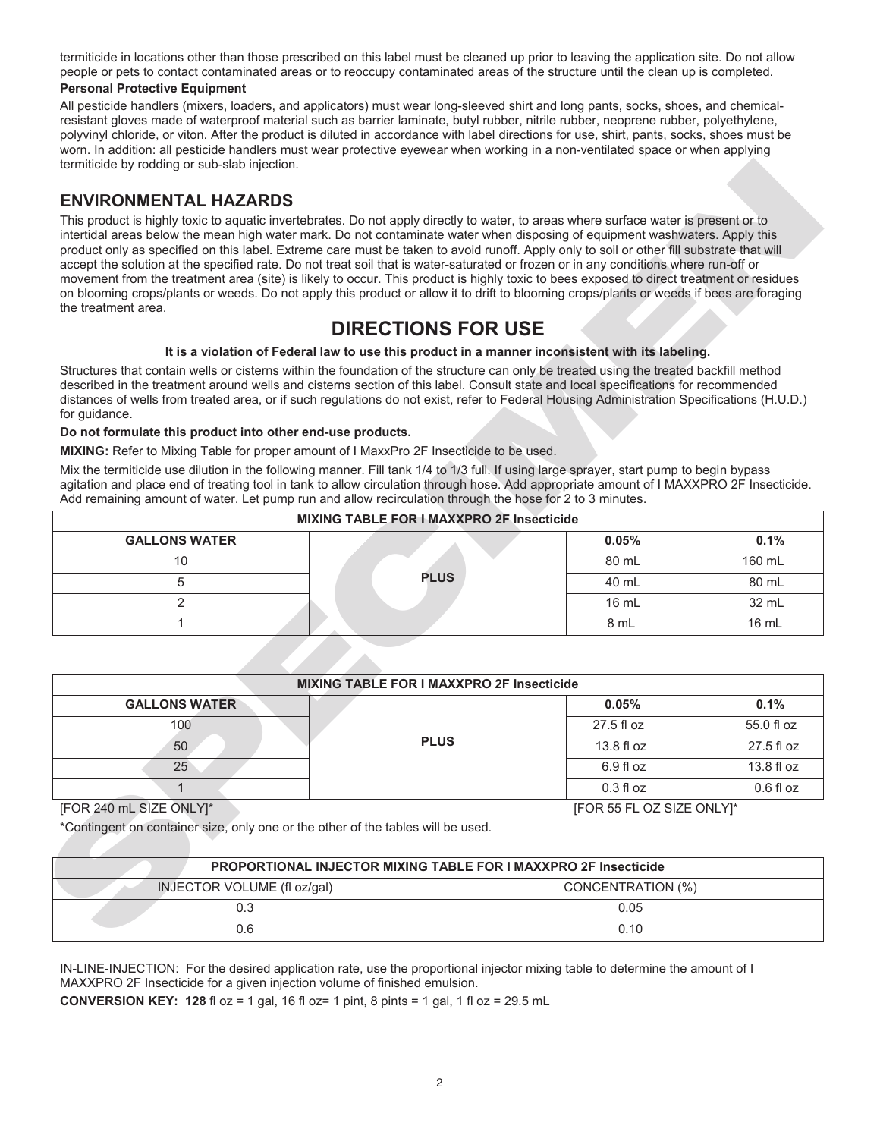termiticide in locations other than those prescribed on this label must be cleaned up prior to leaving the application site. Do not allow people or pets to contact contaminated areas or to reoccupy contaminated areas of the structure until the clean up is completed.

#### **Personal Protective Equipment**

All pesticide handlers (mixers, loaders, and applicators) must wear long-sleeved shirt and long pants, socks, shoes, and chemicalresistant gloves made of waterproof material such as barrier laminate, butyl rubber, nitrile rubber, neoprene rubber, polyethylene, polyvinyl chloride, or viton. After the product is diluted in accordance with label directions for use, shirt, pants, socks, shoes must be worn. In addition: all pesticide handlers must wear protective eyewear when working in a non-ventilated space or when applying termiticide by rodding or sub-slab injection.

### **ENVIRONMENTAL HAZARDS**

# **DIRECTIONS FOR USE**

#### **It is a violation of Federal law to use this product in a manner inconsistent with its labeling.**

#### **Do not formulate this product into other end-use products.**

| <b>MIXING TABLE FOR I MAXXPRO 2F Insecticide</b> |             |                 |        |
|--------------------------------------------------|-------------|-----------------|--------|
| <b>GALLONS WATER</b>                             |             | 0.05%           | 0.1%   |
| 10                                               |             | 80 mL           | 160 mL |
|                                                  | <b>PLUS</b> | 40 mL           | 80 mL  |
|                                                  |             | $16 \text{ mL}$ | 32 mL  |
|                                                  |             | 8 mL            | 16 mL  |

| termiticide by rodding or sub-slab injection.                                                                                                                                                                                                                                                                                                                                                                                                                                                                                                                                                                                                                                                                                                                                                                                                                                                                                                                                                                      |                                                                                                                               |                           |             |
|--------------------------------------------------------------------------------------------------------------------------------------------------------------------------------------------------------------------------------------------------------------------------------------------------------------------------------------------------------------------------------------------------------------------------------------------------------------------------------------------------------------------------------------------------------------------------------------------------------------------------------------------------------------------------------------------------------------------------------------------------------------------------------------------------------------------------------------------------------------------------------------------------------------------------------------------------------------------------------------------------------------------|-------------------------------------------------------------------------------------------------------------------------------|---------------------------|-------------|
| <b>ENVIRONMENTAL HAZARDS</b>                                                                                                                                                                                                                                                                                                                                                                                                                                                                                                                                                                                                                                                                                                                                                                                                                                                                                                                                                                                       |                                                                                                                               |                           |             |
| This product is highly toxic to aquatic invertebrates. Do not apply directly to water, to areas where surface water is present or to<br>intertidal areas below the mean high water mark. Do not contaminate water when disposing of equipment washwaters. Apply this<br>product only as specified on this label. Extreme care must be taken to avoid runoff. Apply only to soil or other fill substrate that will<br>accept the solution at the specified rate. Do not treat soil that is water-saturated or frozen or in any conditions where run-off or<br>movement from the treatment area (site) is likely to occur. This product is highly toxic to bees exposed to direct treatment or residues<br>on blooming crops/plants or weeds. Do not apply this product or allow it to drift to blooming crops/plants or weeds if bees are foraging<br>the treatment area.<br>Structures that contain wells or cisterns within the foundation of the structure can only be treated using the treated backfill method | <b>DIRECTIONS FOR USE</b><br>It is a violation of Federal law to use this product in a manner inconsistent with its labeling. |                           |             |
| described in the treatment around wells and cisterns section of this label. Consult state and local specifications for recommended<br>distances of wells from treated area, or if such regulations do not exist, refer to Federal Housing Administration Specifications (H.U.D.)<br>for guidance.                                                                                                                                                                                                                                                                                                                                                                                                                                                                                                                                                                                                                                                                                                                  |                                                                                                                               |                           |             |
| Do not formulate this product into other end-use products.<br>MIXING: Refer to Mixing Table for proper amount of I MaxxPro 2F Insecticide to be used.                                                                                                                                                                                                                                                                                                                                                                                                                                                                                                                                                                                                                                                                                                                                                                                                                                                              |                                                                                                                               |                           |             |
| Mix the termiticide use dilution in the following manner. Fill tank 1/4 to 1/3 full. If using large sprayer, start pump to begin bypass<br>agitation and place end of treating tool in tank to allow circulation through hose. Add appropriate amount of I MAXXPRO 2F Insecticide.<br>Add remaining amount of water. Let pump run and allow recirculation through the hose for 2 to 3 minutes.                                                                                                                                                                                                                                                                                                                                                                                                                                                                                                                                                                                                                     |                                                                                                                               |                           |             |
|                                                                                                                                                                                                                                                                                                                                                                                                                                                                                                                                                                                                                                                                                                                                                                                                                                                                                                                                                                                                                    | <b>MIXING TABLE FOR I MAXXPRO 2F Insecticide</b>                                                                              |                           |             |
| <b>GALLONS WATER</b>                                                                                                                                                                                                                                                                                                                                                                                                                                                                                                                                                                                                                                                                                                                                                                                                                                                                                                                                                                                               |                                                                                                                               | 0.05%                     | 0.1%        |
| 10                                                                                                                                                                                                                                                                                                                                                                                                                                                                                                                                                                                                                                                                                                                                                                                                                                                                                                                                                                                                                 |                                                                                                                               | 80 mL                     | 160 mL      |
| 5                                                                                                                                                                                                                                                                                                                                                                                                                                                                                                                                                                                                                                                                                                                                                                                                                                                                                                                                                                                                                  | <b>PLUS</b>                                                                                                                   | 40 mL                     | 80 mL       |
| $\overline{2}$                                                                                                                                                                                                                                                                                                                                                                                                                                                                                                                                                                                                                                                                                                                                                                                                                                                                                                                                                                                                     |                                                                                                                               | 16 mL                     | 32 mL       |
| 1                                                                                                                                                                                                                                                                                                                                                                                                                                                                                                                                                                                                                                                                                                                                                                                                                                                                                                                                                                                                                  |                                                                                                                               | 8 mL                      | 16 mL       |
|                                                                                                                                                                                                                                                                                                                                                                                                                                                                                                                                                                                                                                                                                                                                                                                                                                                                                                                                                                                                                    | <b>MIXING TABLE FOR I MAXXPRO 2F Insecticide</b>                                                                              |                           |             |
| <b>GALLONS WATER</b>                                                                                                                                                                                                                                                                                                                                                                                                                                                                                                                                                                                                                                                                                                                                                                                                                                                                                                                                                                                               |                                                                                                                               | 0.05%                     | 0.1%        |
| 100                                                                                                                                                                                                                                                                                                                                                                                                                                                                                                                                                                                                                                                                                                                                                                                                                                                                                                                                                                                                                |                                                                                                                               | 27.5 fl oz                | 55.0 fl oz  |
| 50                                                                                                                                                                                                                                                                                                                                                                                                                                                                                                                                                                                                                                                                                                                                                                                                                                                                                                                                                                                                                 | <b>PLUS</b>                                                                                                                   | 13.8 fl oz                | 27.5 fl oz  |
| 25                                                                                                                                                                                                                                                                                                                                                                                                                                                                                                                                                                                                                                                                                                                                                                                                                                                                                                                                                                                                                 |                                                                                                                               | 6.9 fl oz                 | 13.8 fl oz  |
| $\mathbf{1}$                                                                                                                                                                                                                                                                                                                                                                                                                                                                                                                                                                                                                                                                                                                                                                                                                                                                                                                                                                                                       |                                                                                                                               | 0.3 f1 oz                 | $0.6$ fl oz |
| [FOR 240 mL SIZE ONLY]*<br>*Contingent on container size, only one or the other of the tables will be used.                                                                                                                                                                                                                                                                                                                                                                                                                                                                                                                                                                                                                                                                                                                                                                                                                                                                                                        |                                                                                                                               | [FOR 55 FL OZ SIZE ONLY]* |             |
|                                                                                                                                                                                                                                                                                                                                                                                                                                                                                                                                                                                                                                                                                                                                                                                                                                                                                                                                                                                                                    | PROPORTIONAL INJECTOR MIXING TABLE FOR I MAXXPRO 2F Insecticide                                                               |                           |             |
| INJECTOR VOLUME (fl oz/gal)                                                                                                                                                                                                                                                                                                                                                                                                                                                                                                                                                                                                                                                                                                                                                                                                                                                                                                                                                                                        |                                                                                                                               | <b>CONCENTRATION (%)</b>  |             |
| 0.3                                                                                                                                                                                                                                                                                                                                                                                                                                                                                                                                                                                                                                                                                                                                                                                                                                                                                                                                                                                                                |                                                                                                                               | 0.05                      |             |
| 0.6                                                                                                                                                                                                                                                                                                                                                                                                                                                                                                                                                                                                                                                                                                                                                                                                                                                                                                                                                                                                                |                                                                                                                               | 0.10                      |             |

#### [FOR 240 mL SIZE ONLY]\* [FOR 55 FL OZ SIZE ONLY]\*

| <b>PROPORTIONAL INJECTOR MIXING TABLE FOR I MAXXPRO 2F Insecticide</b> |                   |  |  |
|------------------------------------------------------------------------|-------------------|--|--|
| INJECTOR VOLUME (fl oz/gal)                                            | CONCENTRATION (%) |  |  |
| 0.3                                                                    | 0.05              |  |  |
| 0.6                                                                    | 0.10              |  |  |

IN-LINE-INJECTION: For the desired application rate, use the proportional injector mixing table to determine the amount of I MAXXPRO 2F Insecticide for a given injection volume of finished emulsion.

**CONVERSION KEY: 128** fl oz = 1 gal, 16 fl oz= 1 pint, 8 pints = 1 gal, 1 fl oz = 29.5 mL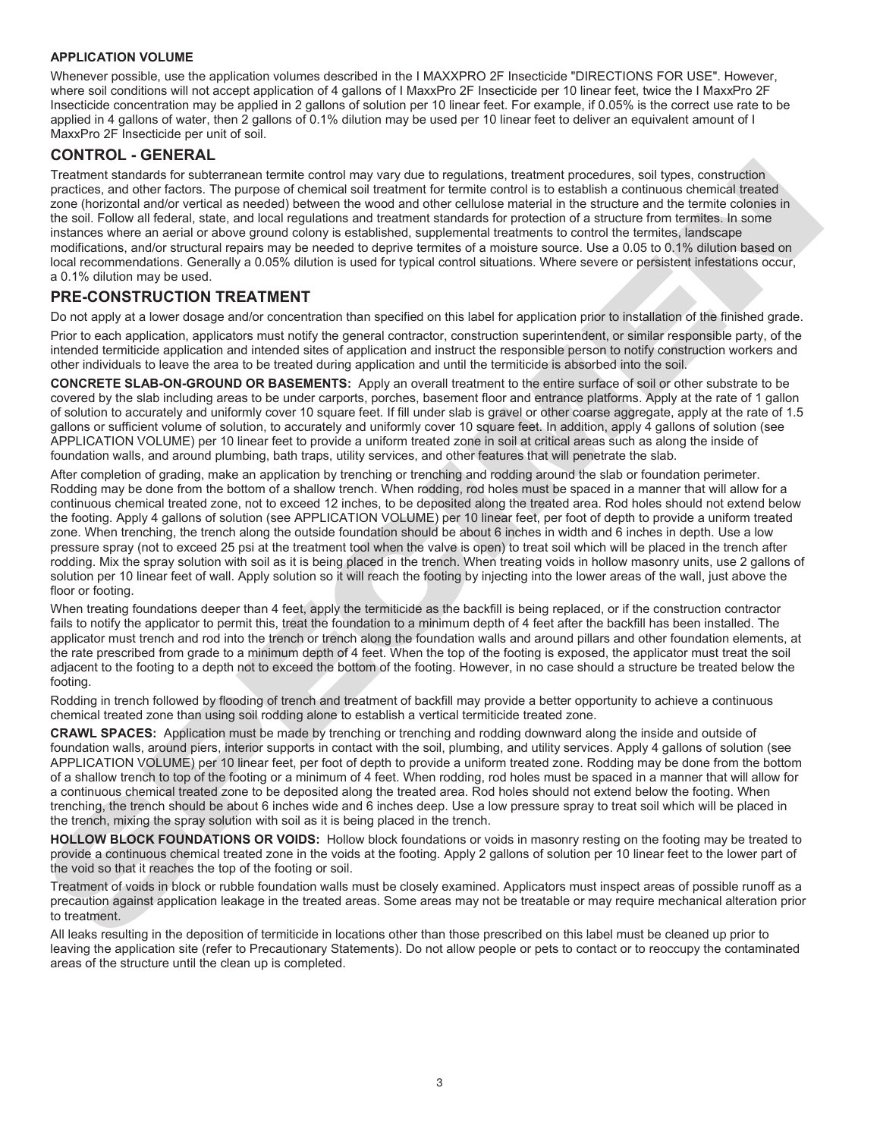#### **APPLICATION VOLUME**

Whenever possible, use the application volumes described in the I MAXXPRO 2F Insecticide "DIRECTIONS FOR USE". However, where soil conditions will not accept application of 4 gallons of I MaxxPro 2F Insecticide per 10 linear feet, twice the I MaxxPro 2F Insecticide concentration may be applied in 2 gallons of solution per 10 linear feet. For example, if 0.05% is the correct use rate to be applied in 4 gallons of water, then 2 gallons of 0.1% dilution may be used per 10 linear feet to deliver an equivalent amount of I MaxxPro 2F Insecticide per unit of soil.

#### **CONTROL - GENERAL**

Treatment standards for subterranean termite control may vary due to regulations, treatment procedures, soil types, construction practices, and other factors. The purpose of chemical soil treatment for termite control is to establish a continuous chemical treated zone (horizontal and/or vertical as needed) between the wood and other cellulose material in the structure and the termite colonies in the soil. Follow all federal, state, and local regulations and treatment standards for protection of a structure from termites. In some instances where an aerial or above ground colony is established, supplemental treatments to control the termites, landscape modifications, and/or structural repairs may be needed to deprive termites of a moisture source. Use a 0.05 to 0.1% dilution based on local recommendations. Generally a 0.05% dilution is used for typical control situations. Where severe or persistent infestations occur, a 0.1% dilution may be used.

#### **PRE-CONSTRUCTION TREATMENT**

Do not apply at a lower dosage and/or concentration than specified on this label for application prior to installation of the finished grade.

Prior to each application, applicators must notify the general contractor, construction superintendent, or similar responsible party, of the intended termiticide application and intended sites of application and instruct the responsible person to notify construction workers and other individuals to leave the area to be treated during application and until the termiticide is absorbed into the soil.

**CONCRETE SLAB-ON-GROUND OR BASEMENTS:** Apply an overall treatment to the entire surface of soil or other substrate to be covered by the slab including areas to be under carports, porches, basement floor and entrance platforms. Apply at the rate of 1 gallon of solution to accurately and uniformly cover 10 square feet. If fill under slab is gravel or other coarse aggregate, apply at the rate of 1.5 gallons or sufficient volume of solution, to accurately and uniformly cover 10 square feet. In addition, apply 4 gallons of solution (see APPLICATION VOLUME) per 10 linear feet to provide a uniform treated zone in soil at critical areas such as along the inside of foundation walls, and around plumbing, bath traps, utility services, and other features that will penetrate the slab.

Tremper a more than the subsection and the more in the subsection, the subsection, a control is a subsection of the subsection and the subsection and the subsection and the subsection and the subsection and the subsection After completion of grading, make an application by trenching or trenching and rodding around the slab or foundation perimeter. Rodding may be done from the bottom of a shallow trench. When rodding, rod holes must be spaced in a manner that will allow for a continuous chemical treated zone, not to exceed 12 inches, to be deposited along the treated area. Rod holes should not extend below the footing. Apply 4 gallons of solution (see APPLICATION VOLUME) per 10 linear feet, per foot of depth to provide a uniform treated zone. When trenching, the trench along the outside foundation should be about 6 inches in width and 6 inches in depth. Use a low pressure spray (not to exceed 25 psi at the treatment tool when the valve is open) to treat soil which will be placed in the trench after rodding. Mix the spray solution with soil as it is being placed in the trench. When treating voids in hollow masonry units, use 2 gallons of solution per 10 linear feet of wall. Apply solution so it will reach the footing by injecting into the lower areas of the wall, just above the floor or footing.

When treating foundations deeper than 4 feet, apply the termiticide as the backfill is being replaced, or if the construction contractor fails to notify the applicator to permit this, treat the foundation to a minimum depth of 4 feet after the backfill has been installed. The applicator must trench and rod into the trench or trench along the foundation walls and around pillars and other foundation elements, at the rate prescribed from grade to a minimum depth of 4 feet. When the top of the footing is exposed, the applicator must treat the soil adjacent to the footing to a depth not to exceed the bottom of the footing. However, in no case should a structure be treated below the footing.

Rodding in trench followed by flooding of trench and treatment of backfill may provide a better opportunity to achieve a continuous chemical treated zone than using soil rodding alone to establish a vertical termiticide treated zone.

**CRAWL SPACES:** Application must be made by trenching or trenching and rodding downward along the inside and outside of foundation walls, around piers, interior supports in contact with the soil, plumbing, and utility services. Apply 4 gallons of solution (see APPLICATION VOLUME) per 10 linear feet, per foot of depth to provide a uniform treated zone. Rodding may be done from the bottom of a shallow trench to top of the footing or a minimum of 4 feet. When rodding, rod holes must be spaced in a manner that will allow for a continuous chemical treated zone to be deposited along the treated area. Rod holes should not extend below the footing. When trenching, the trench should be about 6 inches wide and 6 inches deep. Use a low pressure spray to treat soil which will be placed in the trench, mixing the spray solution with soil as it is being placed in the trench.

**HOLLOW BLOCK FOUNDATIONS OR VOIDS:** Hollow block foundations or voids in masonry resting on the footing may be treated to provide a continuous chemical treated zone in the voids at the footing. Apply 2 gallons of solution per 10 linear feet to the lower part of the void so that it reaches the top of the footing or soil.

Treatment of voids in block or rubble foundation walls must be closely examined. Applicators must inspect areas of possible runoff as a precaution against application leakage in the treated areas. Some areas may not be treatable or may require mechanical alteration prior to treatment.

All leaks resulting in the deposition of termiticide in locations other than those prescribed on this label must be cleaned up prior to leaving the application site (refer to Precautionary Statements). Do not allow people or pets to contact or to reoccupy the contaminated areas of the structure until the clean up is completed.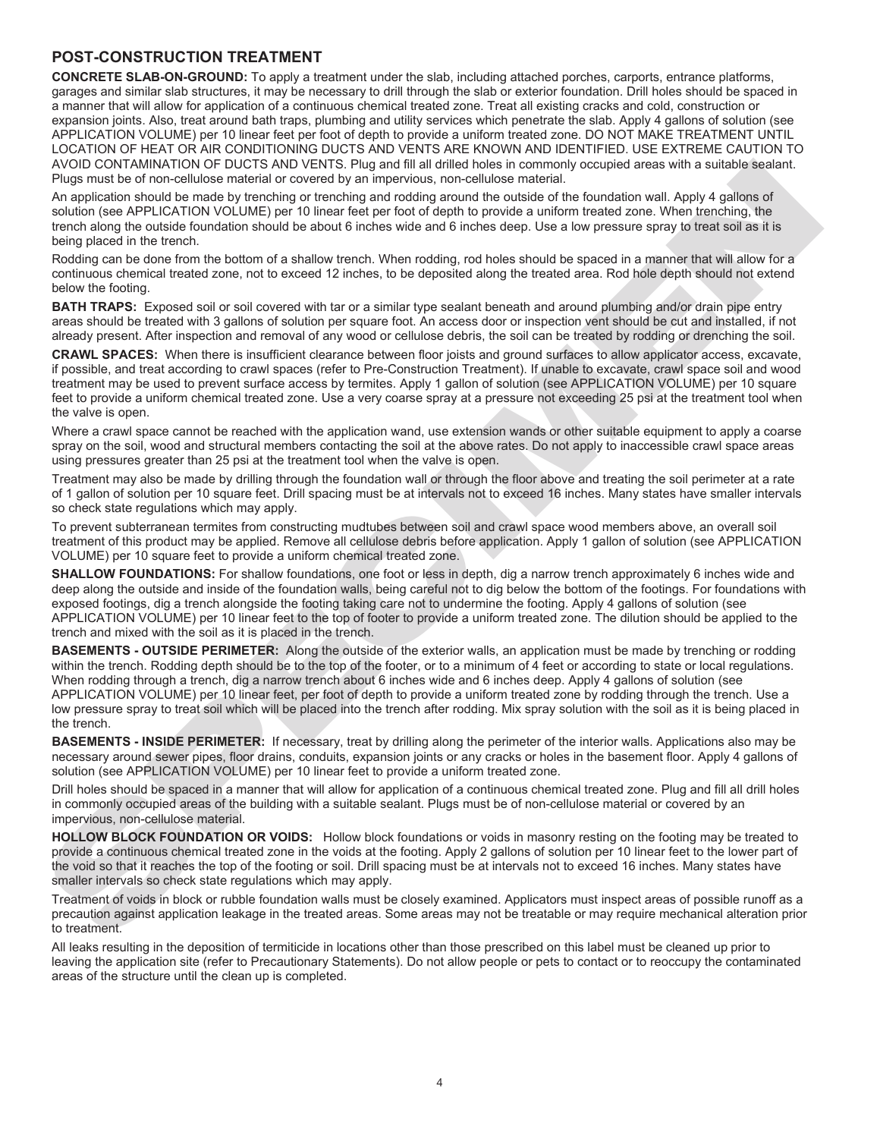#### **POST-CONSTRUCTION TREATMENT**

**CONCRETE SLAB-ON-GROUND:** To apply a treatment under the slab, including attached porches, carports, entrance platforms, garages and similar slab structures, it may be necessary to drill through the slab or exterior foundation. Drill holes should be spaced in a manner that will allow for application of a continuous chemical treated zone. Treat all existing cracks and cold, construction or expansion joints. Also, treat around bath traps, plumbing and utility services which penetrate the slab. Apply 4 gallons of solution (see APPLICATION VOLUME) per 10 linear feet per foot of depth to provide a uniform treated zone. DO NOT MAKE TREATMENT UNTIL LOCATION OF HEAT OR AIR CONDITIONING DUCTS AND VENTS ARE KNOWN AND IDENTIFIED. USE EXTREME CAUTION TO AVOID CONTAMINATION OF DUCTS AND VENTS. Plug and fill all drilled holes in commonly occupied areas with a suitable sealant. Plugs must be of non-cellulose material or covered by an impervious, non-cellulose material.

An application should be made by trenching or trenching and rodding around the outside of the foundation wall. Apply 4 gallons of solution (see APPLICATION VOLUME) per 10 linear feet per foot of depth to provide a uniform treated zone. When trenching, the trench along the outside foundation should be about 6 inches wide and 6 inches deep. Use a low pressure spray to treat soil as it is being placed in the trench.

Rodding can be done from the bottom of a shallow trench. When rodding, rod holes should be spaced in a manner that will allow for a continuous chemical treated zone, not to exceed 12 inches, to be deposited along the treated area. Rod hole depth should not extend below the footing.

**BATH TRAPS:** Exposed soil or soil covered with tar or a similar type sealant beneath and around plumbing and/or drain pipe entry areas should be treated with 3 gallons of solution per square foot. An access door or inspection vent should be cut and installed, if not already present. After inspection and removal of any wood or cellulose debris, the soil can be treated by rodding or drenching the soil.

**CRAWL SPACES:** When there is insufficient clearance between floor joists and ground surfaces to allow applicator access, excavate, if possible, and treat according to crawl spaces (refer to Pre-Construction Treatment). If unable to excavate, crawl space soil and wood treatment may be used to prevent surface access by termites. Apply 1 gallon of solution (see APPLICATION VOLUME) per 10 square feet to provide a uniform chemical treated zone. Use a very coarse spray at a pressure not exceeding 25 psi at the treatment tool when the valve is open.

Where a crawl space cannot be reached with the application wand, use extension wands or other suitable equipment to apply a coarse spray on the soil, wood and structural members contacting the soil at the above rates. Do not apply to inaccessible crawl space areas using pressures greater than 25 psi at the treatment tool when the valve is open.

Treatment may also be made by drilling through the foundation wall or through the floor above and treating the soil perimeter at a rate of 1 gallon of solution per 10 square feet. Drill spacing must be at intervals not to exceed 16 inches. Many states have smaller intervals so check state regulations which may apply.

To prevent subterranean termites from constructing mudtubes between soil and crawl space wood members above, an overall soil treatment of this product may be applied. Remove all cellulose debris before application. Apply 1 gallon of solution (see APPLICATION VOLUME) per 10 square feet to provide a uniform chemical treated zone.

**SHALLOW FOUNDATIONS:** For shallow foundations, one foot or less in depth, dig a narrow trench approximately 6 inches wide and deep along the outside and inside of the foundation walls, being careful not to dig below the bottom of the footings. For foundations with exposed footings, dig a trench alongside the footing taking care not to undermine the footing. Apply 4 gallons of solution (see APPLICATION VOLUME) per 10 linear feet to the top of footer to provide a uniform treated zone. The dilution should be applied to the trench and mixed with the soil as it is placed in the trench.

AVOID CONTAINNATION OF FIUCTS AND VERTS. PHoto and the distribution to momenty occupied swatch is substituted to the control of the state in the state is a substituted by the state in the state is a substituted by the stat **BASEMENTS - OUTSIDE PERIMETER:** Along the outside of the exterior walls, an application must be made by trenching or rodding within the trench. Rodding depth should be to the top of the footer, or to a minimum of 4 feet or according to state or local regulations. When rodding through a trench, dig a narrow trench about 6 inches wide and 6 inches deep. Apply 4 gallons of solution (see APPLICATION VOLUME) per 10 linear feet, per foot of depth to provide a uniform treated zone by rodding through the trench. Use a low pressure spray to treat soil which will be placed into the trench after rodding. Mix spray solution with the soil as it is being placed in the trench.

**BASEMENTS - INSIDE PERIMETER:** If necessary, treat by drilling along the perimeter of the interior walls. Applications also may be necessary around sewer pipes, floor drains, conduits, expansion joints or any cracks or holes in the basement floor. Apply 4 gallons of solution (see APPLICATION VOLUME) per 10 linear feet to provide a uniform treated zone.

Drill holes should be spaced in a manner that will allow for application of a continuous chemical treated zone. Plug and fill all drill holes in commonly occupied areas of the building with a suitable sealant. Plugs must be of non-cellulose material or covered by an impervious, non-cellulose material.

**HOLLOW BLOCK FOUNDATION OR VOIDS:** Hollow block foundations or voids in masonry resting on the footing may be treated to provide a continuous chemical treated zone in the voids at the footing. Apply 2 gallons of solution per 10 linear feet to the lower part of the void so that it reaches the top of the footing or soil. Drill spacing must be at intervals not to exceed 16 inches. Many states have smaller intervals so check state regulations which may apply.

Treatment of voids in block or rubble foundation walls must be closely examined. Applicators must inspect areas of possible runoff as a precaution against application leakage in the treated areas. Some areas may not be treatable or may require mechanical alteration prior to treatment.

All leaks resulting in the deposition of termiticide in locations other than those prescribed on this label must be cleaned up prior to leaving the application site (refer to Precautionary Statements). Do not allow people or pets to contact or to reoccupy the contaminated areas of the structure until the clean up is completed.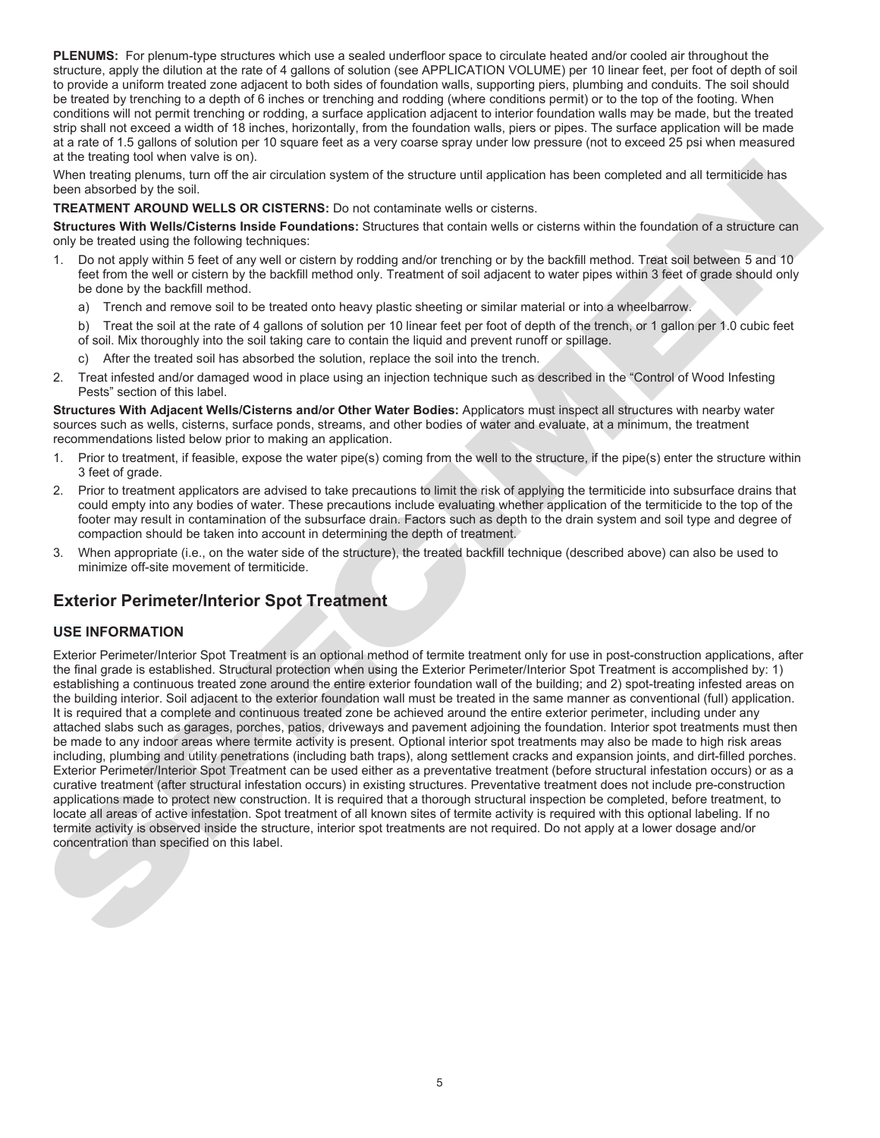**PLENUMS:** For plenum-type structures which use a sealed underfloor space to circulate heated and/or cooled air throughout the structure, apply the dilution at the rate of 4 gallons of solution (see APPLICATION VOLUME) per 10 linear feet, per foot of depth of soil to provide a uniform treated zone adjacent to both sides of foundation walls, supporting piers, plumbing and conduits. The soil should be treated by trenching to a depth of 6 inches or trenching and rodding (where conditions permit) or to the top of the footing. When conditions will not permit trenching or rodding, a surface application adjacent to interior foundation walls may be made, but the treated strip shall not exceed a width of 18 inches, horizontally, from the foundation walls, piers or pipes. The surface application will be made at a rate of 1.5 gallons of solution per 10 square feet as a very coarse spray under low pressure (not to exceed 25 psi when measured at the treating tool when valve is on).

When treating plenums, turn off the air circulation system of the structure until application has been completed and all termiticide has been absorbed by the soil.

**TREATMENT AROUND WELLS OR CISTERNS:** Do not contaminate wells or cisterns.

**Structures With Wells/Cisterns Inside Foundations:** Structures that contain wells or cisterns within the foundation of a structure can only be treated using the following techniques:

- 1. Do not apply within 5 feet of any well or cistern by rodding and/or trenching or by the backfill method. Treat soil between 5 and 10 feet from the well or cistern by the backfill method only. Treatment of soil adjacent to water pipes within 3 feet of grade should only be done by the backfill method.
	- a) Trench and remove soil to be treated onto heavy plastic sheeting or similar material or into a wheelbarrow.

 b) Treat the soil at the rate of 4 gallons of solution per 10 linear feet per foot of depth of the trench, or 1 gallon per 1.0 cubic feet of soil. Mix thoroughly into the soil taking care to contain the liquid and prevent runoff or spillage.

- c) After the treated soil has absorbed the solution, replace the soil into the trench.
- 2. Treat infested and/or damaged wood in place using an injection technique such as described in the "Control of Wood Infesting Pests" section of this label.

**Structures With Adjacent Wells/Cisterns and/or Other Water Bodies:** Applicators must inspect all structures with nearby water sources such as wells, cisterns, surface ponds, streams, and other bodies of water and evaluate, at a minimum, the treatment recommendations listed below prior to making an application.

- 1. Prior to treatment, if feasible, expose the water pipe(s) coming from the well to the structure, if the pipe(s) enter the structure within 3 feet of grade.
- 2. Prior to treatment applicators are advised to take precautions to limit the risk of applying the termiticide into subsurface drains that could empty into any bodies of water. These precautions include evaluating whether application of the termiticide to the top of the footer may result in contamination of the subsurface drain. Factors such as depth to the drain system and soil type and degree of compaction should be taken into account in determining the depth of treatment.
- 3. When appropriate (i.e., on the water side of the structure), the treated backfill technique (described above) can also be used to minimize off-site movement of termiticide.

## **Exterior Perimeter/Interior Spot Treatment**

#### **USE INFORMATION**

When these two states and the metalline of the state of the state of the state of the state of the state of the state of the state of the state of the state of the state of the state of the state of the state of the state Exterior Perimeter/Interior Spot Treatment is an optional method of termite treatment only for use in post-construction applications, after the final grade is established. Structural protection when using the Exterior Perimeter/Interior Spot Treatment is accomplished by: 1) establishing a continuous treated zone around the entire exterior foundation wall of the building; and 2) spot-treating infested areas on the building interior. Soil adjacent to the exterior foundation wall must be treated in the same manner as conventional (full) application. It is required that a complete and continuous treated zone be achieved around the entire exterior perimeter, including under any attached slabs such as garages, porches, patios, driveways and pavement adjoining the foundation. Interior spot treatments must then be made to any indoor areas where termite activity is present. Optional interior spot treatments may also be made to high risk areas including, plumbing and utility penetrations (including bath traps), along settlement cracks and expansion joints, and dirt-filled porches. Exterior Perimeter/Interior Spot Treatment can be used either as a preventative treatment (before structural infestation occurs) or as a curative treatment (after structural infestation occurs) in existing structures. Preventative treatment does not include pre-construction applications made to protect new construction. It is required that a thorough structural inspection be completed, before treatment, to locate all areas of active infestation. Spot treatment of all known sites of termite activity is required with this optional labeling. If no termite activity is observed inside the structure, interior spot treatments are not required. Do not apply at a lower dosage and/or concentration than specified on this label.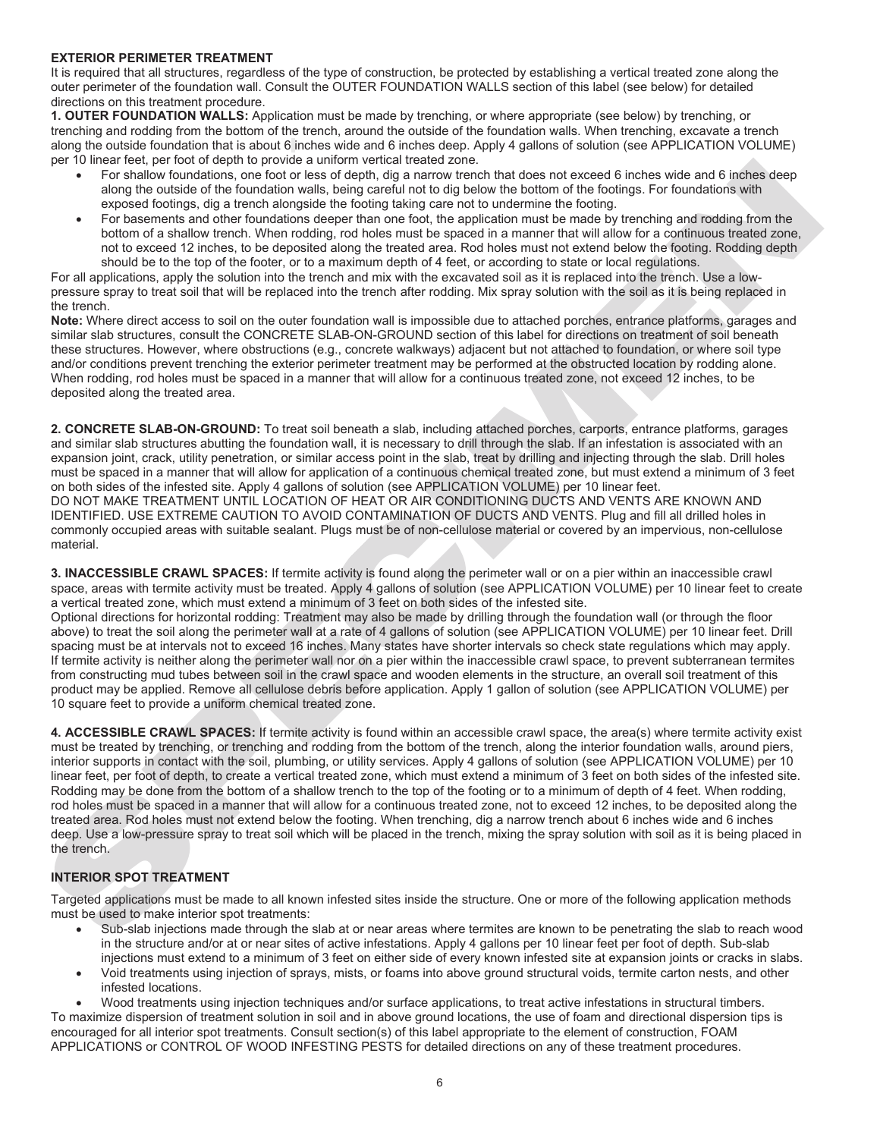#### **EXTERIOR PERIMETER TREATMENT**

It is required that all structures, regardless of the type of construction, be protected by establishing a vertical treated zone along the outer perimeter of the foundation wall. Consult the OUTER FOUNDATION WALLS section of this label (see below) for detailed directions on this treatment procedure.

**1. OUTER FOUNDATION WALLS:** Application must be made by trenching, or where appropriate (see below) by trenching, or trenching and rodding from the bottom of the trench, around the outside of the foundation walls. When trenching, excavate a trench along the outside foundation that is about 6 inches wide and 6 inches deep. Apply 4 gallons of solution (see APPLICATION VOLUME) per 10 linear feet, per foot of depth to provide a uniform vertical treated zone.

- For shallow foundations, one foot or less of depth, dig a narrow trench that does not exceed 6 inches wide and 6 inches deep along the outside of the foundation walls, being careful not to dig below the bottom of the footings. For foundations with exposed footings, dig a trench alongside the footing taking care not to undermine the footing.
- For basements and other foundations deeper than one foot, the application must be made by trenching and rodding from the bottom of a shallow trench. When rodding, rod holes must be spaced in a manner that will allow for a continuous treated zone, not to exceed 12 inches, to be deposited along the treated area. Rod holes must not extend below the footing. Rodding depth should be to the top of the footer, or to a maximum depth of 4 feet, or according to state or local regulations.

For all applications, apply the solution into the trench and mix with the excavated soil as it is replaced into the trench. Use a lowpressure spray to treat soil that will be replaced into the trench after rodding. Mix spray solution with the soil as it is being replaced in the trench.

**Note:** Where direct access to soil on the outer foundation wall is impossible due to attached porches, entrance platforms, garages and similar slab structures, consult the CONCRETE SLAB-ON-GROUND section of this label for directions on treatment of soil beneath these structures. However, where obstructions (e.g., concrete walkways) adjacent but not attached to foundation, or where soil type and/or conditions prevent trenching the exterior perimeter treatment may be performed at the obstructed location by rodding alone. When rodding, rod holes must be spaced in a manner that will allow for a continuous treated zone, not exceed 12 inches, to be deposited along the treated area.

**2. CONCRETE SLAB-ON-GROUND:** To treat soil beneath a slab, including attached porches, carports, entrance platforms, garages and similar slab structures abutting the foundation wall, it is necessary to drill through the slab. If an infestation is associated with an expansion joint, crack, utility penetration, or similar access point in the slab, treat by drilling and injecting through the slab. Drill holes must be spaced in a manner that will allow for application of a continuous chemical treated zone, but must extend a minimum of 3 feet on both sides of the infested site. Apply 4 gallons of solution (see APPLICATION VOLUME) per 10 linear feet. DO NOT MAKE TREATMENT UNTIL LOCATION OF HEAT OR AIR CONDITIONING DUCTS AND VENTS ARE KNOWN AND IDENTIFIED. USE EXTREME CAUTION TO AVOID CONTAMINATION OF DUCTS AND VENTS. Plug and fill all drilled holes in commonly occupied areas with suitable sealant. Plugs must be of non-cellulose material or covered by an impervious, non-cellulose material.

**3. INACCESSIBLE CRAWL SPACES:** If termite activity is found along the perimeter wall or on a pier within an inaccessible crawl space, areas with termite activity must be treated. Apply 4 gallons of solution (see APPLICATION VOLUME) per 10 linear feet to create a vertical treated zone, which must extend a minimum of 3 feet on both sides of the infested site.

Optional directions for horizontal rodding: Treatment may also be made by drilling through the foundation wall (or through the floor above) to treat the soil along the perimeter wall at a rate of 4 gallons of solution (see APPLICATION VOLUME) per 10 linear feet. Drill spacing must be at intervals not to exceed 16 inches. Many states have shorter intervals so check state regulations which may apply. If termite activity is neither along the perimeter wall nor on a pier within the inaccessible crawl space, to prevent subterranean termites from constructing mud tubes between soil in the crawl space and wooden elements in the structure, an overall soil treatment of this product may be applied. Remove all cellulose debris before application. Apply 1 gallon of solution (see APPLICATION VOLUME) per 10 square feet to provide a uniform chemical treated zone.

per un distribute per contraste and one of the contraste and one of the contraste and in the contraste and interest and interest and interest and interest and interest and interest and interest and interest and interest an **4. ACCESSIBLE CRAWL SPACES:** If termite activity is found within an accessible crawl space, the area(s) where termite activity exist must be treated by trenching, or trenching and rodding from the bottom of the trench, along the interior foundation walls, around piers, interior supports in contact with the soil, plumbing, or utility services. Apply 4 gallons of solution (see APPLICATION VOLUME) per 10 linear feet, per foot of depth, to create a vertical treated zone, which must extend a minimum of 3 feet on both sides of the infested site. Rodding may be done from the bottom of a shallow trench to the top of the footing or to a minimum of depth of 4 feet. When rodding, rod holes must be spaced in a manner that will allow for a continuous treated zone, not to exceed 12 inches, to be deposited along the treated area. Rod holes must not extend below the footing. When trenching, dig a narrow trench about 6 inches wide and 6 inches deep. Use a low-pressure spray to treat soil which will be placed in the trench, mixing the spray solution with soil as it is being placed in the trench.

#### **INTERIOR SPOT TREATMENT**

Targeted applications must be made to all known infested sites inside the structure. One or more of the following application methods must be used to make interior spot treatments:

- Sub-slab injections made through the slab at or near areas where termites are known to be penetrating the slab to reach wood in the structure and/or at or near sites of active infestations. Apply 4 gallons per 10 linear feet per foot of depth. Sub-slab injections must extend to a minimum of 3 feet on either side of every known infested site at expansion joints or cracks in slabs.
- Void treatments using injection of sprays, mists, or foams into above ground structural voids, termite carton nests, and other infested locations.

 Wood treatments using injection techniques and/or surface applications, to treat active infestations in structural timbers. To maximize dispersion of treatment solution in soil and in above ground locations, the use of foam and directional dispersion tips is encouraged for all interior spot treatments. Consult section(s) of this label appropriate to the element of construction, FOAM APPLICATIONS or CONTROL OF WOOD INFESTING PESTS for detailed directions on any of these treatment procedures.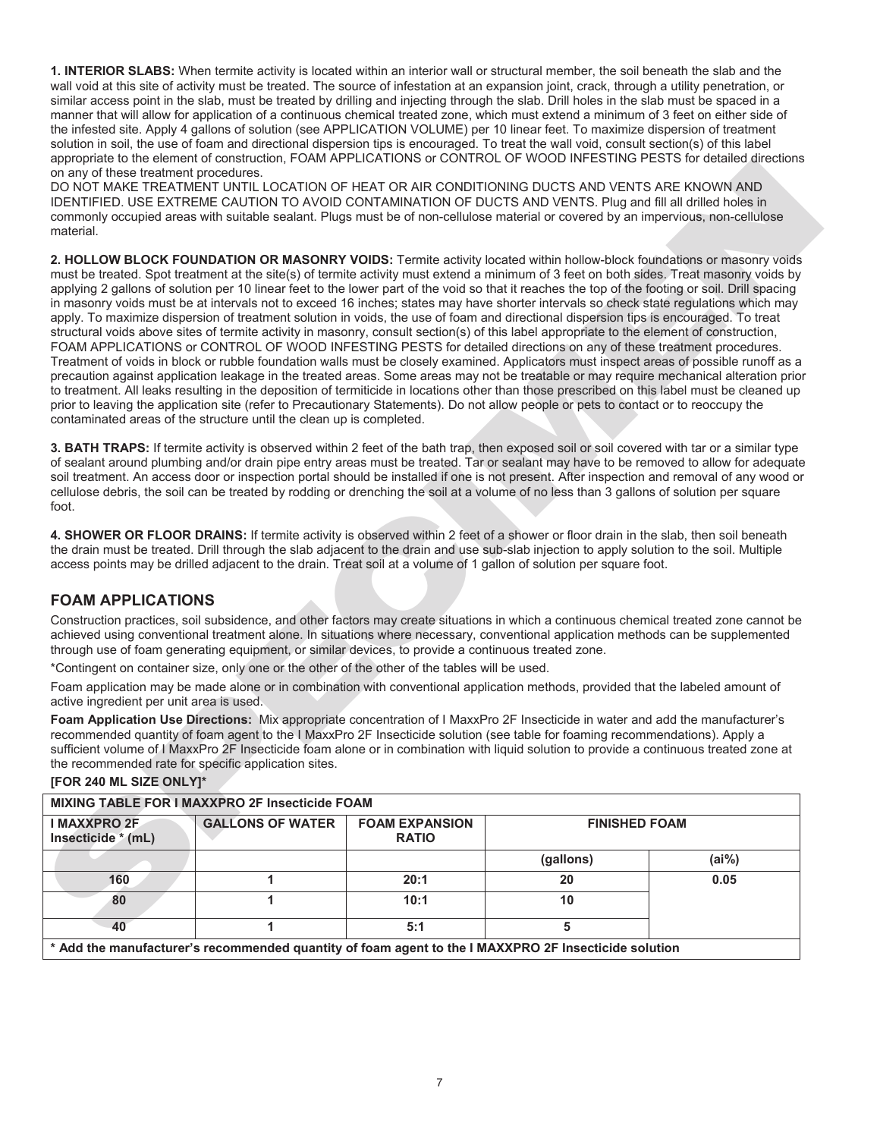**1. INTERIOR SLABS:** When termite activity is located within an interior wall or structural member, the soil beneath the slab and the wall void at this site of activity must be treated. The source of infestation at an expansion joint, crack, through a utility penetration, or similar access point in the slab, must be treated by drilling and injecting through the slab. Drill holes in the slab must be spaced in a manner that will allow for application of a continuous chemical treated zone, which must extend a minimum of 3 feet on either side of the infested site. Apply 4 gallons of solution (see APPLICATION VOLUME) per 10 linear feet. To maximize dispersion of treatment solution in soil, the use of foam and directional dispersion tips is encouraged. To treat the wall void, consult section(s) of this label appropriate to the element of construction, FOAM APPLICATIONS or CONTROL OF WOOD INFESTING PESTS for detailed directions on any of these treatment procedures.

DO NOT MAKE TREATMENT UNTIL LOCATION OF HEAT OR AIR CONDITIONING DUCTS AND VENTS ARE KNOWN AND IDENTIFIED. USE EXTREME CAUTION TO AVOID CONTAMINATION OF DUCTS AND VENTS. Plug and fill all drilled holes in commonly occupied areas with suitable sealant. Plugs must be of non-cellulose material or covered by an impervious, non-cellulose material.

αυτού των προσωπικών προσωπικών προσωπικών προσωπικών του πουδικών του προσωπικών προσωπικών προσωπικών προσωπικών προσωπικών προσωπικών προσωπικών προσωπικών προσωπικών προσωπικών προσωπικών προσωπικών προσωπικών προσωπ **2. HOLLOW BLOCK FOUNDATION OR MASONRY VOIDS:** Termite activity located within hollow-block foundations or masonry voids must be treated. Spot treatment at the site(s) of termite activity must extend a minimum of 3 feet on both sides. Treat masonry voids by applying 2 gallons of solution per 10 linear feet to the lower part of the void so that it reaches the top of the footing or soil. Drill spacing in masonry voids must be at intervals not to exceed 16 inches; states may have shorter intervals so check state regulations which may apply. To maximize dispersion of treatment solution in voids, the use of foam and directional dispersion tips is encouraged. To treat structural voids above sites of termite activity in masonry, consult section(s) of this label appropriate to the element of construction, FOAM APPLICATIONS or CONTROL OF WOOD INFESTING PESTS for detailed directions on any of these treatment procedures. Treatment of voids in block or rubble foundation walls must be closely examined. Applicators must inspect areas of possible runoff as a precaution against application leakage in the treated areas. Some areas may not be treatable or may require mechanical alteration prior to treatment. All leaks resulting in the deposition of termiticide in locations other than those prescribed on this label must be cleaned up prior to leaving the application site (refer to Precautionary Statements). Do not allow people or pets to contact or to reoccupy the contaminated areas of the structure until the clean up is completed.

**3. BATH TRAPS:** If termite activity is observed within 2 feet of the bath trap, then exposed soil or soil covered with tar or a similar type of sealant around plumbing and/or drain pipe entry areas must be treated. Tar or sealant may have to be removed to allow for adequate soil treatment. An access door or inspection portal should be installed if one is not present. After inspection and removal of any wood or cellulose debris, the soil can be treated by rodding or drenching the soil at a volume of no less than 3 gallons of solution per square foot.

**4. SHOWER OR FLOOR DRAINS:** If termite activity is observed within 2 feet of a shower or floor drain in the slab, then soil beneath the drain must be treated. Drill through the slab adjacent to the drain and use sub-slab injection to apply solution to the soil. Multiple access points may be drilled adjacent to the drain. Treat soil at a volume of 1 gallon of solution per square foot.

## **FOAM APPLICATIONS**

Construction practices, soil subsidence, and other factors may create situations in which a continuous chemical treated zone cannot be achieved using conventional treatment alone. In situations where necessary, conventional application methods can be supplemented through use of foam generating equipment, or similar devices, to provide a continuous treated zone.

\*Contingent on container size, only one or the other of the other of the tables will be used.

Foam application may be made alone or in combination with conventional application methods, provided that the labeled amount of active ingredient per unit area is used.

**Foam Application Use Directions:** Mix appropriate concentration of I MaxxPro 2F Insecticide in water and add the manufacturer's recommended quantity of foam agent to the I MaxxPro 2F Insecticide solution (see table for foaming recommendations). Apply a sufficient volume of I MaxxPro 2F Insecticide foam alone or in combination with liquid solution to provide a continuous treated zone at the recommended rate for specific application sites.

| MIXING TABLE FOR I MAXXPRO 2F Insecticide FOAM |                                                                                                      |                                       |                      |          |
|------------------------------------------------|------------------------------------------------------------------------------------------------------|---------------------------------------|----------------------|----------|
| <b>I MAXXPRO 2F</b><br>Insecticide * (mL)      | <b>GALLONS OF WATER</b>                                                                              | <b>FOAM EXPANSION</b><br><b>RATIO</b> | <b>FINISHED FOAM</b> |          |
|                                                |                                                                                                      |                                       | (gallons)            | $(ai\%)$ |
| 160                                            |                                                                                                      | 20:1                                  | 20                   | 0.05     |
| 80                                             |                                                                                                      | 10:1                                  | 10                   |          |
| 40                                             |                                                                                                      | 5:1                                   |                      |          |
|                                                | * Add the manufacturer's recommended quantity of foam agent to the I MAXXPRO 2F Insecticide solution |                                       |                      |          |

#### **[FOR 240 ML SIZE ONLY]\***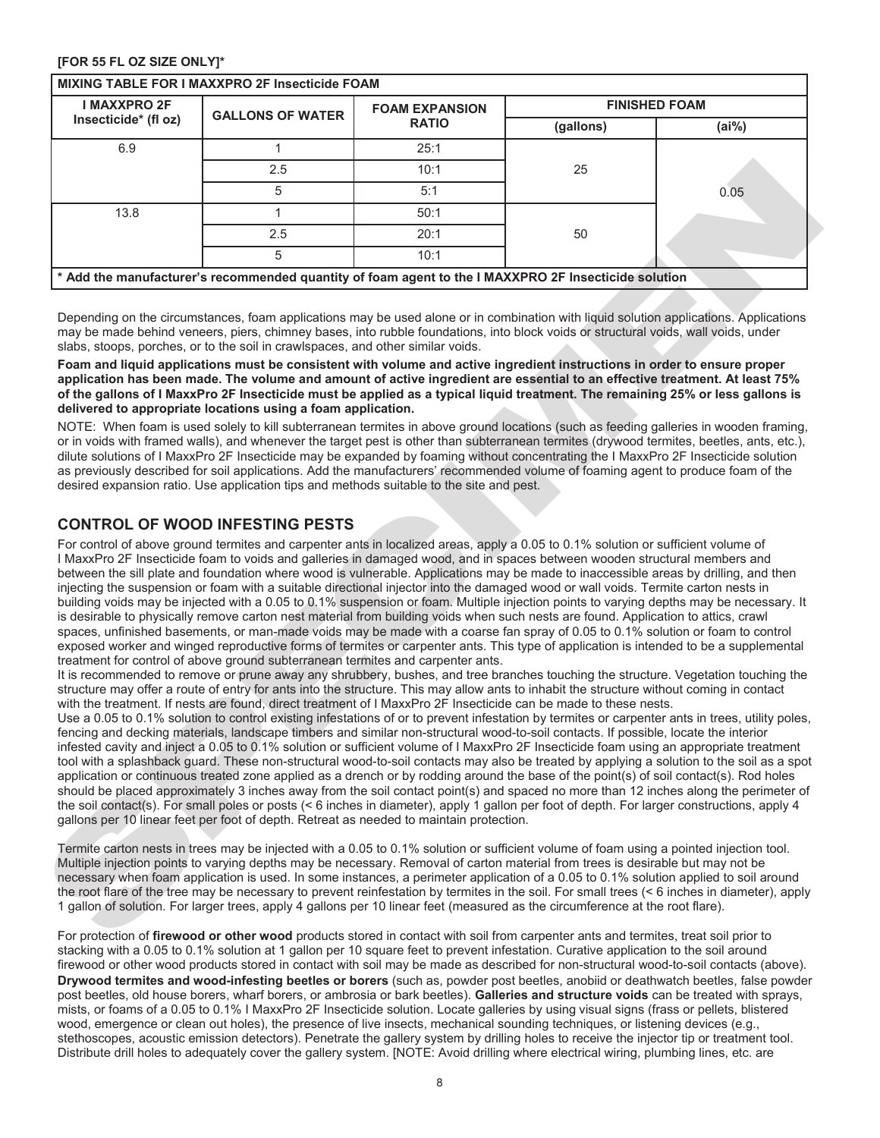#### **[FOR 55 FL OZ SIZE ONLY]\***

| Insecticide* (fl oz)<br>6.9<br>13.8<br>* Add the manufacturer's recommended quantity of foam agent to the I MAXXPRO 2F Insecticide solution<br>Depending on the circumstances, foam applications may be used alone or in combination with liquid solution applications. Applications<br>may be made behind veneers, piers, chimney bases, into rubble foundations, into block voids or structural voids, wall voids, under<br>slabs, stoops, porches, or to the soil in crawlspaces, and other similar voids.<br>Foam and liquid applications must be consistent with volume and active ingredient instructions in order to ensure proper<br>application has been made. The volume and amount of active ingredient are essential to an effective treatment. At least 75%<br>of the gallons of I MaxxPro 2F Insecticide must be applied as a typical liquid treatment. The remaining 25% or less gallons is<br>delivered to appropriate locations using a foam application.<br>NOTE: When foam is used solely to kill subterranean termites in above ground locations (such as feeding galleries in wooden framing,<br>or in voids with framed walls), and whenever the target pest is other than subterranean termites (drywood termites, beetles, ants, etc.),<br>dilute solutions of I MaxxPro 2F Insecticide may be expanded by foaming without concentrating the I MaxxPro 2F Insecticide solution<br>as previously described for soil applications. Add the manufacturers' recommended volume of foaming agent to produce foam of the<br>desired expansion ratio. Use application tips and methods suitable to the site and pest.                                                                                                                                                                                                                                                                                                                                                                                                                                                                                                                                                                                                                                                                                                                                                                                                                                            | <b>GALLONS OF WATER</b><br>1<br>2.5<br>5<br>1<br>2.5<br>5 | <b>RATIO</b><br>25:1<br>10:1<br>5:1<br>50:1<br>20:1<br>10:1 | (gallons)<br>25<br>50 | (ai% )<br>0.05 |
|-----------------------------------------------------------------------------------------------------------------------------------------------------------------------------------------------------------------------------------------------------------------------------------------------------------------------------------------------------------------------------------------------------------------------------------------------------------------------------------------------------------------------------------------------------------------------------------------------------------------------------------------------------------------------------------------------------------------------------------------------------------------------------------------------------------------------------------------------------------------------------------------------------------------------------------------------------------------------------------------------------------------------------------------------------------------------------------------------------------------------------------------------------------------------------------------------------------------------------------------------------------------------------------------------------------------------------------------------------------------------------------------------------------------------------------------------------------------------------------------------------------------------------------------------------------------------------------------------------------------------------------------------------------------------------------------------------------------------------------------------------------------------------------------------------------------------------------------------------------------------------------------------------------------------------------------------------------------------------------------------------------------------------------------------------------------------------------------------------------------------------------------------------------------------------------------------------------------------------------------------------------------------------------------------------------------------------------------------------------------------------------------------------------------------------------------------------------------------------------|-----------------------------------------------------------|-------------------------------------------------------------|-----------------------|----------------|
|                                                                                                                                                                                                                                                                                                                                                                                                                                                                                                                                                                                                                                                                                                                                                                                                                                                                                                                                                                                                                                                                                                                                                                                                                                                                                                                                                                                                                                                                                                                                                                                                                                                                                                                                                                                                                                                                                                                                                                                                                                                                                                                                                                                                                                                                                                                                                                                                                                                                                   |                                                           |                                                             |                       |                |
|                                                                                                                                                                                                                                                                                                                                                                                                                                                                                                                                                                                                                                                                                                                                                                                                                                                                                                                                                                                                                                                                                                                                                                                                                                                                                                                                                                                                                                                                                                                                                                                                                                                                                                                                                                                                                                                                                                                                                                                                                                                                                                                                                                                                                                                                                                                                                                                                                                                                                   |                                                           |                                                             |                       |                |
|                                                                                                                                                                                                                                                                                                                                                                                                                                                                                                                                                                                                                                                                                                                                                                                                                                                                                                                                                                                                                                                                                                                                                                                                                                                                                                                                                                                                                                                                                                                                                                                                                                                                                                                                                                                                                                                                                                                                                                                                                                                                                                                                                                                                                                                                                                                                                                                                                                                                                   |                                                           |                                                             |                       |                |
|                                                                                                                                                                                                                                                                                                                                                                                                                                                                                                                                                                                                                                                                                                                                                                                                                                                                                                                                                                                                                                                                                                                                                                                                                                                                                                                                                                                                                                                                                                                                                                                                                                                                                                                                                                                                                                                                                                                                                                                                                                                                                                                                                                                                                                                                                                                                                                                                                                                                                   |                                                           |                                                             |                       |                |
|                                                                                                                                                                                                                                                                                                                                                                                                                                                                                                                                                                                                                                                                                                                                                                                                                                                                                                                                                                                                                                                                                                                                                                                                                                                                                                                                                                                                                                                                                                                                                                                                                                                                                                                                                                                                                                                                                                                                                                                                                                                                                                                                                                                                                                                                                                                                                                                                                                                                                   |                                                           |                                                             |                       |                |
|                                                                                                                                                                                                                                                                                                                                                                                                                                                                                                                                                                                                                                                                                                                                                                                                                                                                                                                                                                                                                                                                                                                                                                                                                                                                                                                                                                                                                                                                                                                                                                                                                                                                                                                                                                                                                                                                                                                                                                                                                                                                                                                                                                                                                                                                                                                                                                                                                                                                                   |                                                           |                                                             |                       |                |
|                                                                                                                                                                                                                                                                                                                                                                                                                                                                                                                                                                                                                                                                                                                                                                                                                                                                                                                                                                                                                                                                                                                                                                                                                                                                                                                                                                                                                                                                                                                                                                                                                                                                                                                                                                                                                                                                                                                                                                                                                                                                                                                                                                                                                                                                                                                                                                                                                                                                                   |                                                           |                                                             |                       |                |
|                                                                                                                                                                                                                                                                                                                                                                                                                                                                                                                                                                                                                                                                                                                                                                                                                                                                                                                                                                                                                                                                                                                                                                                                                                                                                                                                                                                                                                                                                                                                                                                                                                                                                                                                                                                                                                                                                                                                                                                                                                                                                                                                                                                                                                                                                                                                                                                                                                                                                   |                                                           |                                                             |                       |                |
|                                                                                                                                                                                                                                                                                                                                                                                                                                                                                                                                                                                                                                                                                                                                                                                                                                                                                                                                                                                                                                                                                                                                                                                                                                                                                                                                                                                                                                                                                                                                                                                                                                                                                                                                                                                                                                                                                                                                                                                                                                                                                                                                                                                                                                                                                                                                                                                                                                                                                   |                                                           |                                                             |                       |                |
| I MaxxPro 2F Insecticide foam to voids and galleries in damaged wood, and in spaces between wooden structural members and<br>between the sill plate and foundation where wood is vulnerable. Applications may be made to inaccessible areas by drilling, and then<br>injecting the suspension or foam with a suitable directional injector into the damaged wood or wall voids. Termite carton nests in<br>building voids may be injected with a 0.05 to 0.1% suspension or foam. Multiple injection points to varying depths may be necessary. It<br>is desirable to physically remove carton nest material from building voids when such nests are found. Application to attics, crawl<br>spaces, unfinished basements, or man-made voids may be made with a coarse fan spray of 0.05 to 0.1% solution or foam to control<br>exposed worker and winged reproductive forms of termites or carpenter ants. This type of application is intended to be a supplemental<br>treatment for control of above ground subterranean termites and carpenter ants.<br>It is recommended to remove or prune away any shrubbery, bushes, and tree branches touching the structure. Vegetation touching the<br>structure may offer a route of entry for ants into the structure. This may allow ants to inhabit the structure without coming in contact<br>with the treatment. If nests are found, direct treatment of I MaxxPro 2F Insecticide can be made to these nests.<br>Use a 0.05 to 0.1% solution to control existing infestations of or to prevent infestation by termites or carpenter ants in trees, utility poles,<br>fencing and decking materials, landscape timbers and similar non-structural wood-to-soil contacts. If possible, locate the interior<br>infested cavity and inject a 0.05 to 0.1% solution or sufficient volume of I MaxxPro 2F Insecticide foam using an appropriate treatment<br>tool with a splashback guard. These non-structural wood-to-soil contacts may also be treated by applying a solution to the soil as a spot<br>application or continuous treated zone applied as a drench or by rodding around the base of the point(s) of soil contact(s). Rod holes<br>should be placed approximately 3 inches away from the soil contact point(s) and spaced no more than 12 inches along the perimeter of<br>the soil contact(s). For small poles or posts (< 6 inches in diameter), apply 1 gallon per foot of depth. For larger constructions, apply 4 |                                                           |                                                             |                       |                |
| gallons per 10 linear feet per foot of depth. Retreat as needed to maintain protection.<br>Termite carton nests in trees may be injected with a 0.05 to 0.1% solution or sufficient volume of foam using a pointed injection tool.<br>Multiple injection points to varying depths may be necessary. Removal of carton material from trees is desirable but may not be<br>necessary when foam application is used. In some instances, a perimeter application of a 0.05 to 0.1% solution applied to soil around<br>the root flare of the tree may be necessary to prevent reinfestation by termites in the soil. For small trees (< 6 inches in diameter), apply<br>1 gallon of solution. For larger trees, apply 4 gallons per 10 linear feet (measured as the circumference at the root flare).<br>For protection of firewood or other wood products stored in contact with soil from carpenter ants and termites, treat soil prior to                                                                                                                                                                                                                                                                                                                                                                                                                                                                                                                                                                                                                                                                                                                                                                                                                                                                                                                                                                                                                                                                                                                                                                                                                                                                                                                                                                                                                                                                                                                                           |                                                           |                                                             |                       |                |

#### **CONTROL OF WOOD INFESTING PESTS**

For protection of **firewood or other wood** products stored in contact with soil from carpenter ants and termites, treat soil prior to stacking with a 0.05 to 0.1% solution at 1 gallon per 10 square feet to prevent infestation. Curative application to the soil around firewood or other wood products stored in contact with soil may be made as described for non-structural wood-to-soil contacts (above). **Drywood termites and wood-infesting beetles or borers** (such as, powder post beetles, anobiid or deathwatch beetles, false powder post beetles, old house borers, wharf borers, or ambrosia or bark beetles). **Galleries and structure voids** can be treated with sprays, mists, or foams of a 0.05 to 0.1% I MaxxPro 2F Insecticide solution. Locate galleries by using visual signs (frass or pellets, blistered wood, emergence or clean out holes), the presence of live insects, mechanical sounding techniques, or listening devices (e.g., stethoscopes, acoustic emission detectors). Penetrate the gallery system by drilling holes to receive the injector tip or treatment tool. Distribute drill holes to adequately cover the gallery system. [NOTE: Avoid drilling where electrical wiring, plumbing lines, etc. are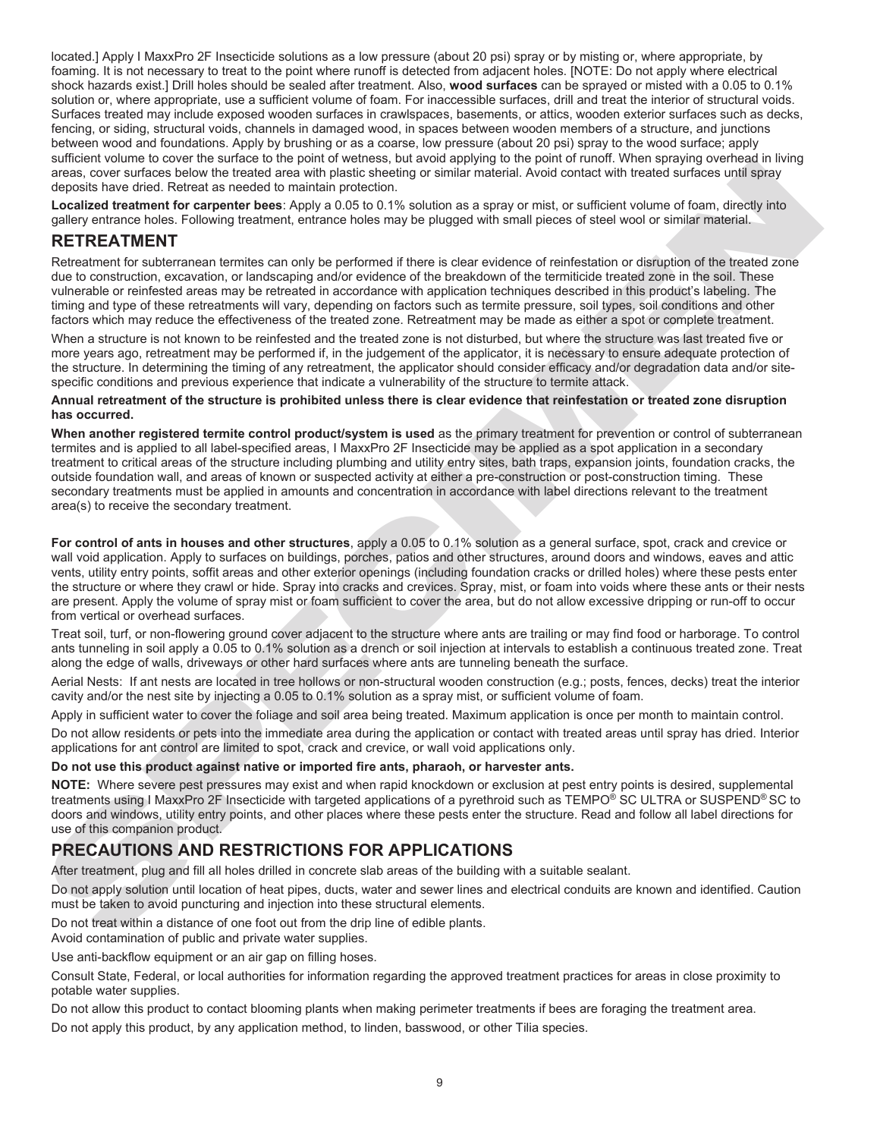located.] Apply I MaxxPro 2F Insecticide solutions as a low pressure (about 20 psi) spray or by misting or, where appropriate, by foaming. It is not necessary to treat to the point where runoff is detected from adjacent holes. [NOTE: Do not apply where electrical shock hazards exist.] Drill holes should be sealed after treatment. Also, **wood surfaces** can be sprayed or misted with a 0.05 to 0.1% solution or, where appropriate, use a sufficient volume of foam. For inaccessible surfaces, drill and treat the interior of structural voids. Surfaces treated may include exposed wooden surfaces in crawlspaces, basements, or attics, wooden exterior surfaces such as decks, fencing, or siding, structural voids, channels in damaged wood, in spaces between wooden members of a structure, and junctions between wood and foundations. Apply by brushing or as a coarse, low pressure (about 20 psi) spray to the wood surface; apply sufficient volume to cover the surface to the point of wetness, but avoid applying to the point of runoff. When spraying overhead in living areas, cover surfaces below the treated area with plastic sheeting or similar material. Avoid contact with treated surfaces until spray deposits have dried. Retreat as needed to maintain protection.

**Localized treatment for carpenter bees**: Apply a 0.05 to 0.1% solution as a spray or mist, or sufficient volume of foam, directly into gallery entrance holes. Following treatment, entrance holes may be plugged with small pieces of steel wool or similar material.

# **RETREATMENT**

Retreatment for subterranean termites can only be performed if there is clear evidence of reinfestation or disruption of the treated zone due to construction, excavation, or landscaping and/or evidence of the breakdown of the termiticide treated zone in the soil. These vulnerable or reinfested areas may be retreated in accordance with application techniques described in this product's labeling. The timing and type of these retreatments will vary, depending on factors such as termite pressure, soil types, soil conditions and other factors which may reduce the effectiveness of the treated zone. Retreatment may be made as either a spot or complete treatment.

When a structure is not known to be reinfested and the treated zone is not disturbed, but where the structure was last treated five or more years ago, retreatment may be performed if, in the judgement of the applicator, it is necessary to ensure adequate protection of the structure. In determining the timing of any retreatment, the applicator should consider efficacy and/or degradation data and/or sitespecific conditions and previous experience that indicate a vulnerability of the structure to termite attack.

#### **Annual retreatment of the structure is prohibited unless there is clear evidence that reinfestation or treated zone disruption has occurred.**

steal, cover united Relief is metalled the entire paints and the specific is the specific is metalled and the specific is metalled the specific is metalled the specific is metalled the specific is the specific is metalled **When another registered termite control product/system is used** as the primary treatment for prevention or control of subterranean termites and is applied to all label-specified areas, I MaxxPro 2F Insecticide may be applied as a spot application in a secondary treatment to critical areas of the structure including plumbing and utility entry sites, bath traps, expansion joints, foundation cracks, the outside foundation wall, and areas of known or suspected activity at either a pre-construction or post-construction timing. These secondary treatments must be applied in amounts and concentration in accordance with label directions relevant to the treatment area(s) to receive the secondary treatment.

**For control of ants in houses and other structures**, apply a 0.05 to 0.1% solution as a general surface, spot, crack and crevice or wall void application. Apply to surfaces on buildings, porches, patios and other structures, around doors and windows, eaves and attic vents, utility entry points, soffit areas and other exterior openings (including foundation cracks or drilled holes) where these pests enter the structure or where they crawl or hide. Spray into cracks and crevices. Spray, mist, or foam into voids where these ants or their nests are present. Apply the volume of spray mist or foam sufficient to cover the area, but do not allow excessive dripping or run-off to occur from vertical or overhead surfaces.

Treat soil, turf, or non-flowering ground cover adjacent to the structure where ants are trailing or may find food or harborage. To control ants tunneling in soil apply a 0.05 to 0.1% solution as a drench or soil injection at intervals to establish a continuous treated zone. Treat along the edge of walls, driveways or other hard surfaces where ants are tunneling beneath the surface.

Aerial Nests: If ant nests are located in tree hollows or non-structural wooden construction (e.g.; posts, fences, decks) treat the interior cavity and/or the nest site by injecting a 0.05 to 0.1% solution as a spray mist, or sufficient volume of foam.

Apply in sufficient water to cover the foliage and soil area being treated. Maximum application is once per month to maintain control.

Do not allow residents or pets into the immediate area during the application or contact with treated areas until spray has dried. Interior applications for ant control are limited to spot, crack and crevice, or wall void applications only.

#### **Do not use this product against native or imported fire ants, pharaoh, or harvester ants.**

**NOTE:** Where severe pest pressures may exist and when rapid knockdown or exclusion at pest entry points is desired, supplemental treatments using I MaxxPro 2F Insecticide with targeted applications of a pyrethroid such as TEMPO® SC ULTRA or SUSPEND® SC to doors and windows, utility entry points, and other places where these pests enter the structure. Read and follow all label directions for use of this companion product.

# **PRECAUTIONS AND RESTRICTIONS FOR APPLICATIONS**

After treatment, plug and fill all holes drilled in concrete slab areas of the building with a suitable sealant.

Do not apply solution until location of heat pipes, ducts, water and sewer lines and electrical conduits are known and identified. Caution must be taken to avoid puncturing and injection into these structural elements.

Do not treat within a distance of one foot out from the drip line of edible plants.

Avoid contamination of public and private water supplies.

Use anti-backflow equipment or an air gap on filling hoses.

Consult State, Federal, or local authorities for information regarding the approved treatment practices for areas in close proximity to potable water supplies.

Do not allow this product to contact blooming plants when making perimeter treatments if bees are foraging the treatment area.

Do not apply this product, by any application method, to linden, basswood, or other Tilia species.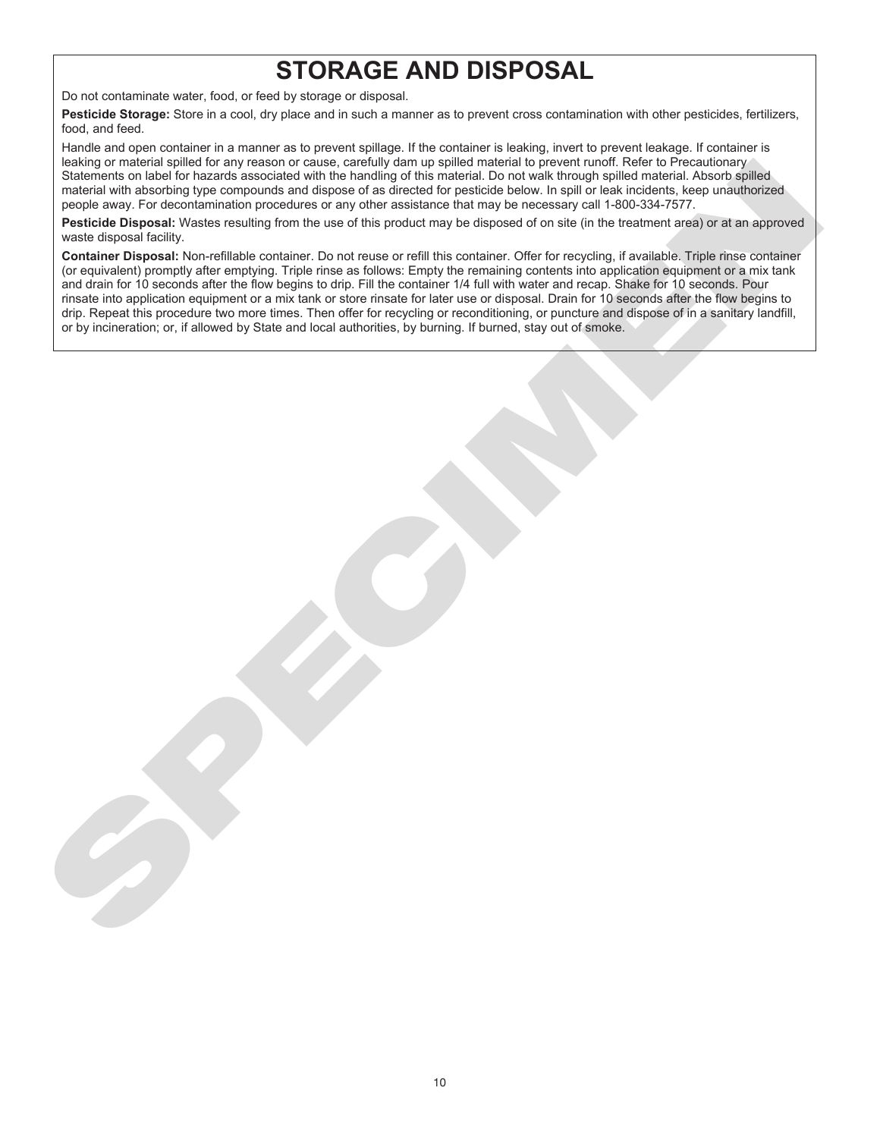# **STORAGE AND DISPOSAL**

Do not contaminate water, food, or feed by storage or disposal.

**Pesticide Storage:** Store in a cool, dry place and in such a manner as to prevent cross contamination with other pesticides, fertilizers, food, and feed.

Handle and open container in a manner as to prevent spillage. If the container is leaking, invert to prevent leakage. If container is leaking or material spilled for any reason or cause, carefully dam up spilled material to prevent runoff. Refer to Precautionary Statements on label for hazards associated with the handling of this material. Do not walk through spilled material. Absorb spilled material with absorbing type compounds and dispose of as directed for pesticide below. In spill or leak incidents, keep unauthorized people away. For decontamination procedures or any other assistance that may be necessary call 1-800-334-7577.

**Pesticide Disposal:** Wastes resulting from the use of this product may be disposed of on site (in the treatment area) or at an approved waste disposal facility.

example of makes selected by frastron or cases. Earthly are the selection to provide the transformation in the selection of the selection of the selection of the selection of the selection of the selection of the selection **Container Disposal:** Non-refillable container. Do not reuse or refill this container. Offer for recycling, if available. Triple rinse container (or equivalent) promptly after emptying. Triple rinse as follows: Empty the remaining contents into application equipment or a mix tank and drain for 10 seconds after the flow begins to drip. Fill the container 1/4 full with water and recap. Shake for 10 seconds. Pour rinsate into application equipment or a mix tank or store rinsate for later use or disposal. Drain for 10 seconds after the flow begins to drip. Repeat this procedure two more times. Then offer for recycling or reconditioning, or puncture and dispose of in a sanitary landfill, or by incineration; or, if allowed by State and local authorities, by burning. If burned, stay out of smoke.